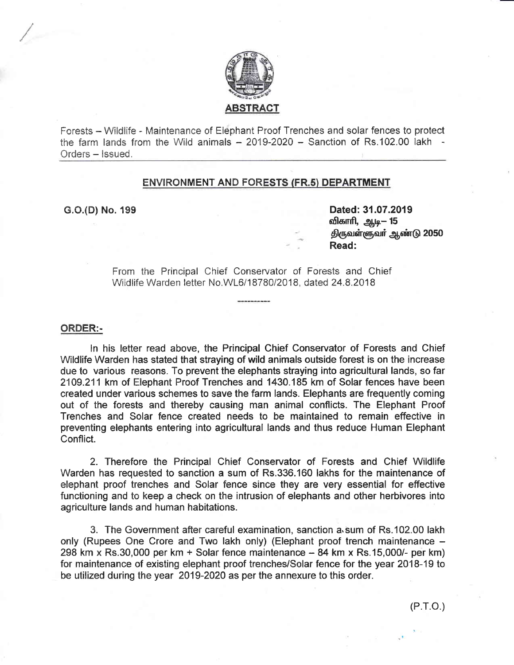

Forests - Wildlife - Maintenance of Elephant Proof Trenches and solar fences to protect the farm lands from the Wild animals  $-2019-2020 -$  Sanction of Rs.102.00 lakh  $-$ Orders - Issued.

#### ENVIRONMENT AND FORESTS (FR.5) DEPARTMENT

G.O.(D) No. 199 Dated: 31.07.2019 விகாரி, ஆடி— 15 திருவள்ளுவர் ஆண்டு 2050 Read:

> From the Principal Chief Conservator of Forests and Chief Wildlife Warden letter No.WL6/18780/2018, dated 24.8.2018

#### GRDER:.

ln his letter nead above, the Principal Chief Conservator of Forests and Chief Wildlife Warden has stated that straying of wild animals outside forest is on the increase due to various reasons. To prevent the elephants straying into agricultural Iands, so far 2109.211 km of Elephant Proof Trenches and 1430.185 km of Solar fences have been created under various schernes to save the farm lands. Elephants are frequently conning out of the forests and thereby causing man animal conflicts. The Elephant Proof Trenches and Solar fence created needs to be maintained to remain effective in preventing elephants entering into agrieultural lands and thus reduce Human Elephant Conflict.

2. Therefore the Principal Chief Conservator of Forests and Chief Wildlife Warden has requested to sanction a sum of Rs.336.160 lakhs for the maintenance of elephant proof trenches and Solar fence since they are very essential for effective functioning and to keep a eheck on the intrusion of elephants and other herbivores into agriculture lands and human habitations.

3. The Government after careful examination, sanction a'sum of Rs.102.00 lakh only (Rupees One Crore and Two lakh only) (Elephant proof trench maintenance -298 km x Rs.30,000 per km + Solar fence maintenance  $-$  84 km x Rs.15,000/- per km) for maintenance of existing elephant proof trenches/Solar fence for the year 2018-19 to be utilized during the year 2019-2020 as per the annexure to this order.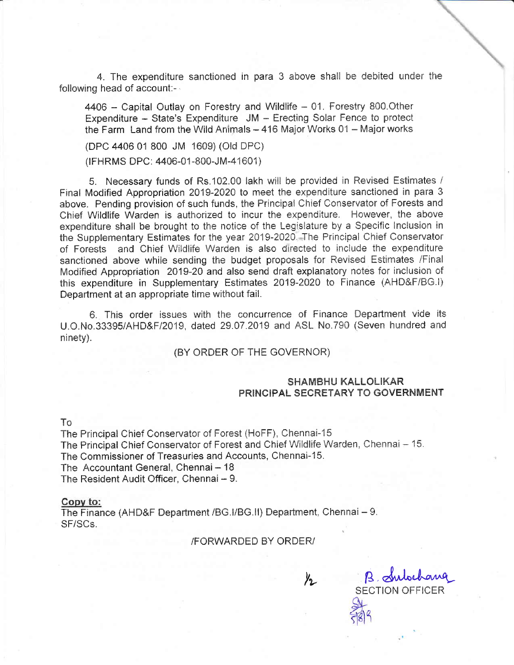4. The expenditure sanctioned in para 3 above shall be debited under the following head of account:-

4406 - Capital Outlay on Forestry and Wildlife - 01. Forestry 800. Other Expenditure - State's Expenditure JM - Erecting Solar Fence to protect the Farm Land from the Wild Animals - 416 Major Works 01 - Major works

(DPC 4406 01 800 JM 1609) (Old DPC)

(IFHRMS DPC: 4406-01-800-JM-41601)

5. Necessary funds of Rs.102.00 lakh will be provided in Revised Estimates / Final Modified Appropriation 2019-2020 to meet the expenditure sanctioned in para 3 above. Pending provision of such funds, the Principal Chief Conservator of Forests and Chief Wildlife Warden is authorized to incur the expenditure. However, the above expenditure shall be brought to the notice of the Legislature by a Specific Inclusion in the Supplementary Estimates for the year 2019-2020. The Principal Chief Conservator of Forests and Chief Wildlife Warden is also directed to include the expenditure sanctioned above while sending the budget proposals for Revised Estimates /Final Modified Appropriation 2019-20 and also send draft explanatory notes for inclusion of this expenditure in Supplementary Estimates 2019-2020 to Finance (AHD&F/BG.I) Department at an appropriate time without fail.

6. This order issues with the concurrence of Finance Department vide its U.O.No.33395/AHD&F/2019, dated 29.07.2019 and ASL No.790 (Seven hundred and ninety).

#### (BY ORDER OF THE GOVERNOR)

#### **SHAMBHU KALLOLIKAR** PRINCIPAL SECRETARY TO GOVERNMENT

#### To

The Principal Chief Conservator of Forest (HoFF), Chennai-15 The Principal Chief Conservator of Forest and Chief Wildlife Warden, Chennai - 15. The Commissioner of Treasuries and Accounts, Chennai-15. The Accountant General, Chennai - 18 The Resident Audit Officer, Chennai - 9.

#### Copy to:

The Finance (AHD&F Department /BG.I/BG.II) Department, Chennai - 9. SF/SCs

#### /FORWARDED BY ORDER/

 $\frac{1}{2}$ 

B. Subchang **SECTION OFFICER**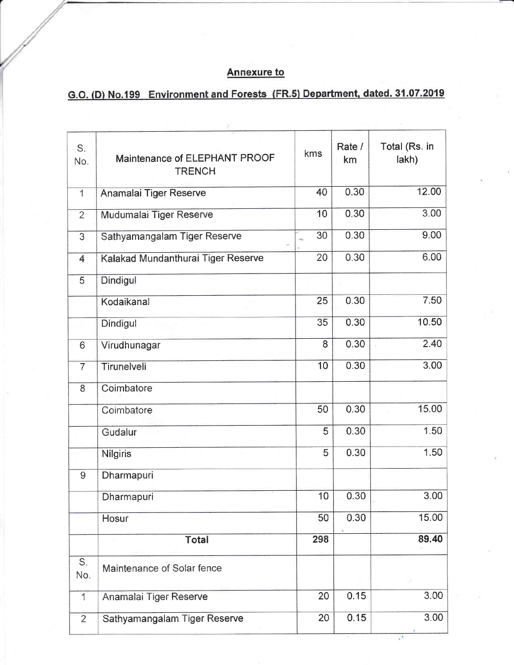### **Annexure to**

# G.O. (D) No.199 Environment and Forests (FR.5) Department, dated. 31.07.2019

| S.<br>No.                | Maintenance of ELEPHANT PROOF<br><b>TRENCH</b> | kms | Rate /<br>km | Total (Rs. in<br>lakh) |
|--------------------------|------------------------------------------------|-----|--------------|------------------------|
| $\overline{1}$           | Anamalai Tiger Reserve                         | 40  | 0.30         | 12.00                  |
| $\overline{2}$           | Mudumalai Tiger Reserve                        | 10  | 0.30         | 3.00                   |
| 3                        | Sathyamangalam Tiger Reserve                   | 30  | 0.30         | 9.00                   |
| 4                        | Kalakad Mundanthurai Tiger Reserve             | 20  | 0.30         | 6.00                   |
| 5                        | Dindigul                                       |     |              |                        |
|                          | Kodaikanal                                     | 25  | 0.30         | 7.50                   |
|                          | Dindigul                                       | 35  | 0.30         | 10.50                  |
| $6\overline{6}$          | Virudhunagar                                   | 8   | 0.30         | 2.40                   |
| $\overline{7}$           | Tirunelveli                                    | 10  | 0.30         | 3.00                   |
| 8                        | Coimbatore                                     |     |              |                        |
|                          | Coimbatore                                     | 50  | 0.30         | 15.00                  |
|                          | Gudalur                                        | 5   | 0.30         | 1.50                   |
|                          | <b>Nilgiris</b>                                | 5   | 0.30         | 1.50                   |
| 9                        | Dharmapuri                                     |     |              |                        |
|                          | Dharmapuri                                     | 10  | 0.30         | 3.00                   |
|                          | Hosur                                          | 50  | 0.30         | 15.00                  |
|                          | <b>Total</b>                                   | 298 |              | 89.40                  |
| S.<br>No.                | Maintenance of Solar fence                     |     |              |                        |
| $\overline{\mathcal{L}}$ | Anamalai Tiger Reserve                         | 20  | 0.15         | 3.00                   |
| $\overline{2}$           | Sathyamangalam Tiger Reserve                   | 20  | 0.15         | 3.00                   |